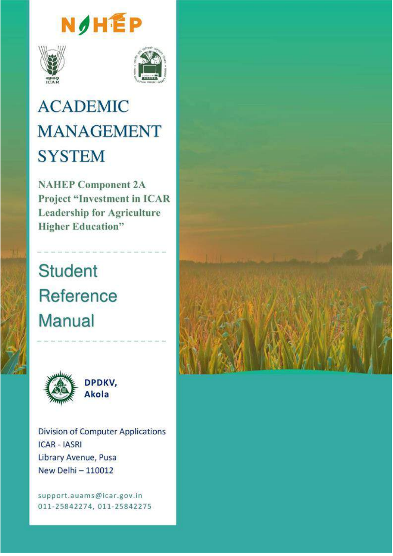





# **ACADEMIC MANAGEMENT SYSTEM**

**NAHEP Component 2A Project "Investment in ICAR Leadership for Agriculture Higher Education**"

# **Student** Reference **Manual**



**Division of Computer Applications ICAR - IASRI** Library Avenue, Pusa New Delhi - 110012

support.auams@icar.gov.in 011-25842274, 011-25842275

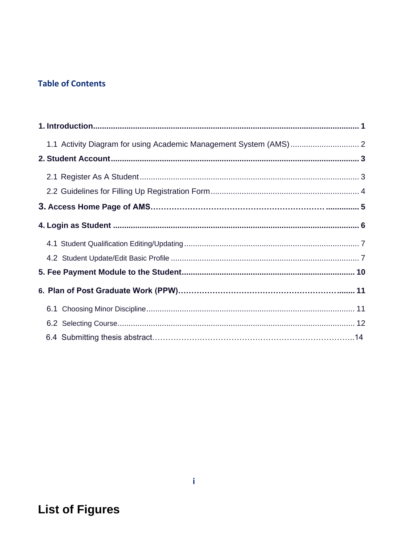#### **Table of Contents**

# **List of Figures**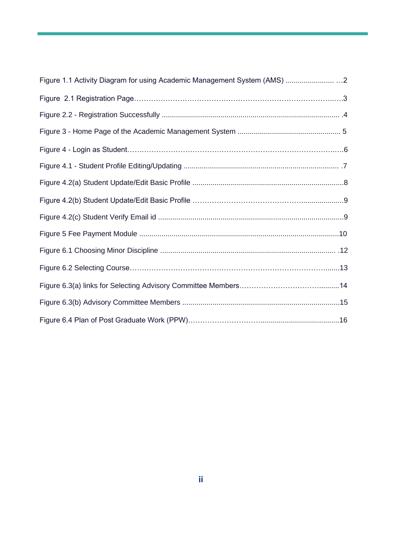| Figure 1.1 Activity Diagram for using Academic Management System (AMS)  2 |  |
|---------------------------------------------------------------------------|--|
|                                                                           |  |
|                                                                           |  |
|                                                                           |  |
|                                                                           |  |
|                                                                           |  |
|                                                                           |  |
|                                                                           |  |
|                                                                           |  |
|                                                                           |  |
|                                                                           |  |
|                                                                           |  |
|                                                                           |  |
|                                                                           |  |
|                                                                           |  |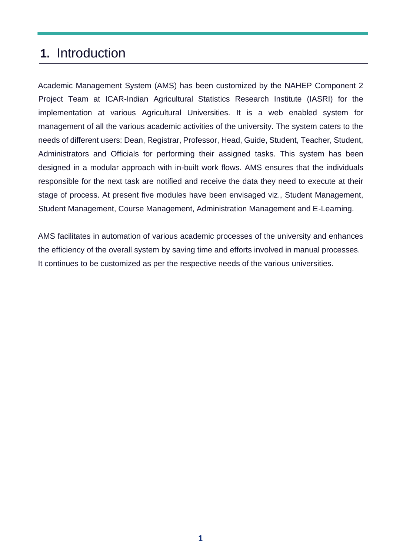#### <span id="page-4-0"></span>**1.** Introduction

Academic Management System (AMS) has been customized by the NAHEP Component 2 Project Team at ICAR-Indian Agricultural Statistics Research Institute (IASRI) for the implementation at various Agricultural Universities. It is a web enabled system for management of all the various academic activities of the university. The system caters to the needs of different users: Dean, Registrar, Professor, Head, Guide, Student, Teacher, Student, Administrators and Officials for performing their assigned tasks. This system has been designed in a modular approach with in-built work flows. AMS ensures that the individuals responsible for the next task are notified and receive the data they need to execute at their stage of process. At present five modules have been envisaged viz., Student Management, Student Management, Course Management, Administration Management and E-Learning.

AMS facilitates in automation of various academic processes of the university and enhances the efficiency of the overall system by saving time and efforts involved in manual processes. It continues to be customized as per the respective needs of the various universities.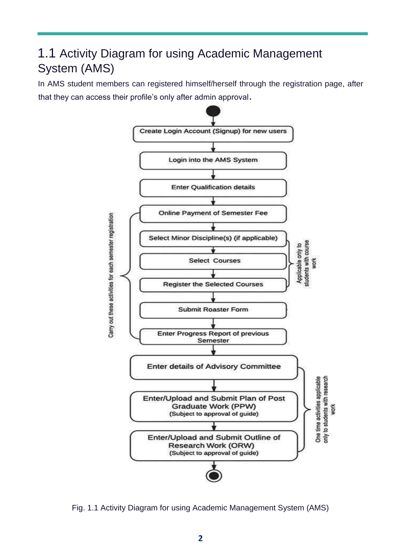#### <span id="page-5-0"></span>1.1 Activity Diagram for using Academic Management System (AMS)

In AMS student members can registered himself/herself through the registration page, after that they can access their profile's only after admin approval.



Fig. 1.1 Activity Diagram for using Academic Management System (AMS)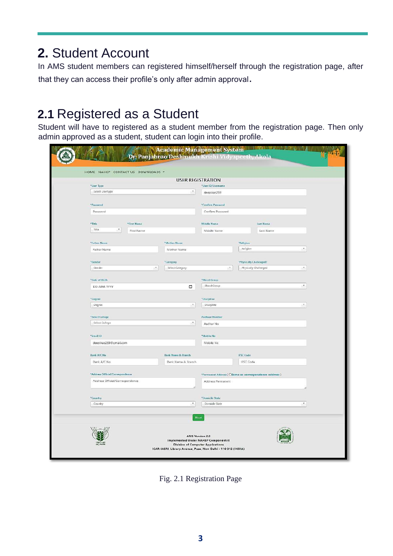### <span id="page-6-0"></span>**2.** Student Account

In AMS student members can registered himself/herself through the registration page, after that they can access their profile's only after admin approval.

### <span id="page-6-1"></span>**2.1** Registered as a Student

Student will have to registered as a student member from the registration page. Then only admin approved as a student, student can login into their profile.

|                                                                     | <b>USER REGISTRATION</b> |                          |                                                      |           |
|---------------------------------------------------------------------|--------------------------|--------------------------|------------------------------------------------------|-----------|
| *User Type                                                          |                          | *User ID/Username        |                                                      |           |
| Select UserType                                                     | ٠                        | deepikac259              |                                                      |           |
| *Password                                                           |                          | *Confirm Password        |                                                      |           |
| Password                                                            |                          | Confirm Password         |                                                      |           |
|                                                                     |                          |                          |                                                      |           |
| "Title<br><b>"First Name</b>                                        |                          | Middle Name              | Last Name                                            |           |
| $^\star$<br>Title<br>First Name                                     |                          | Middle Name              | Last Name                                            |           |
| *Father Name                                                        | *Mother Name             |                          | *Religion                                            |           |
| Father Name                                                         | Mother Name              |                          | Religion                                             | ×.        |
|                                                                     |                          |                          |                                                      |           |
| *Gender                                                             | "Category                |                          | "Physically Challenged?                              |           |
| $\overline{\phantom{a}}$<br>Gender                                  | Select Category          | $\overline{\phantom{a}}$ | Physically Challenged                                | ÷         |
| *Date of Birth                                                      |                          | *Bland Group             |                                                      |           |
| DD-MM-YYYY                                                          | □                        | Blood Group              |                                                      | $\sigma$  |
|                                                                     |                          |                          |                                                      |           |
| *Degree                                                             |                          | *Discipline              |                                                      |           |
| Degree                                                              | J.                       | Discipline               |                                                      | ×         |
| *Select College                                                     |                          | Aadhaar Number           |                                                      |           |
| Select College                                                      | $\mathcal{F}$            | Aadhar No                |                                                      |           |
|                                                                     |                          |                          |                                                      |           |
| *Email ID.                                                          |                          | *Mobile No               |                                                      |           |
| deepikac259@gmail.com                                               |                          | Mobile No                |                                                      |           |
| Bank A/C No.                                                        | Bank Name & Branch       |                          | <b>IFSC Code</b>                                     |           |
| Bank A/C No                                                         | Bank Name & Branch       |                          | IFSC Code                                            |           |
|                                                                     |                          |                          |                                                      |           |
| "Address Official/Correspondence<br>Address Official/Correspondence |                          | Address Permanent        | *Permanent Address (CSame as correspondence address) |           |
|                                                                     |                          |                          |                                                      |           |
| *Country                                                            |                          | *Domicile State          |                                                      |           |
| Country                                                             | ٠                        | Domicile State           |                                                      | $\bullet$ |
|                                                                     |                          |                          |                                                      |           |
|                                                                     | Next                     |                          |                                                      |           |
|                                                                     |                          |                          |                                                      |           |

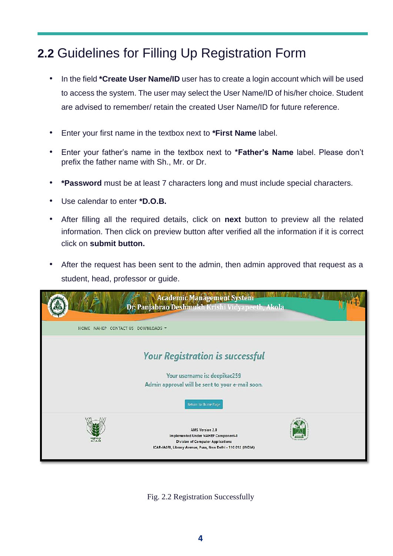#### <span id="page-7-0"></span>**2.2** Guidelines for Filling Up Registration Form

- In the field **\*Create User Name/ID** user has to create a login account which will be used to access the system. The user may select the User Name/ID of his/her choice. Student are advised to remember/ retain the created User Name/ID for future reference.
- Enter your first name in the textbox next to **\*First Name** label.
- Enter your father's name in the textbox next to **\*Father's Name** label. Please don't prefix the father name with Sh., Mr. or Dr.
- **\*Password** must be at least 7 characters long and must include special characters.
- Use calendar to enter **\*D.O.B.**
- After filling all the required details, click on **next** button to preview all the related information. Then click on preview button after verified all the information if it is correct click on **submit button.**
- After the request has been sent to the admin, then admin approved that request as a student, head, professor or guide.



Fig. 2.2 Registration Successfully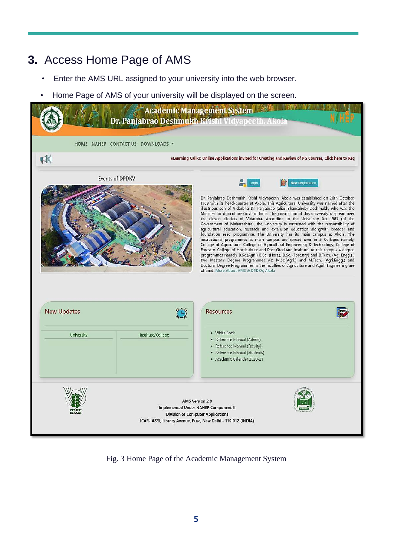#### <span id="page-8-0"></span>**3.** Access Home Page of AMS

- Enter the AMS URL assigned to your university into the web browser.
- Home Page of AMS of your university will be displayed on the screen.



Fig. 3 Home Page of the Academic Management System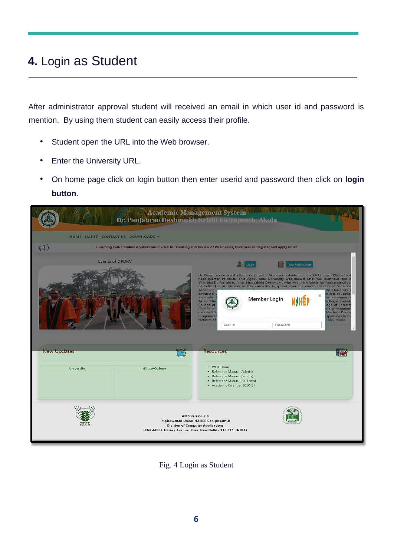#### <span id="page-9-0"></span>**4.** Login as Student

After administrator approval student will received an email in which user id and password is mention. By using them student can easily access their profile.

- Student open the URL into the Web browser.
- Enter the University URL.
- On home page click on login button then enter userid and password then click on **login button**.



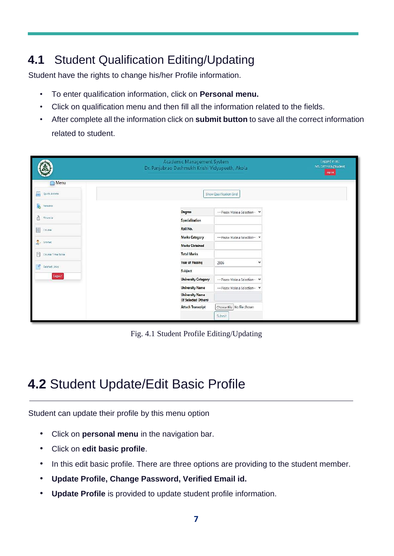#### <span id="page-10-0"></span>**4.1** Student Qualification Editing/Updating

Student have the rights to change his/her Profile information.

- To enter qualification information, click on **Personal menu.**
- Click on qualification menu and then fill all the information related to the fields.
- After complete all the information click on **submit button** to save all the correct information related to student.

|                              | <b>Academic Management System</b><br>Dr. Panjabrao Deshmukh Krishi Vidyapeeth, Akola | Logged in as:<br>MS. DEEPIKA (Student)<br>Logout |
|------------------------------|--------------------------------------------------------------------------------------|--------------------------------------------------|
| Menu                         |                                                                                      |                                                  |
| 록<br>Quick Access            | Show Qualification Grid                                                              |                                                  |
| l.<br>Personal               |                                                                                      |                                                  |
|                              | Degree<br>--- Please Make a Selection- V                                             |                                                  |
| â<br>Financial               | Specialization                                                                       |                                                  |
| B<br>Course                  | Roll No.                                                                             |                                                  |
| 2.<br>Grades                 | <b>Marks Category</b><br>--- Please Make a Selection-                                |                                                  |
|                              | <b>Marks Obtained</b>                                                                |                                                  |
| $^\ast$<br>Course Time Table | <b>Total Marks</b>                                                                   |                                                  |
| Related Links                | <b>Year of Passing</b><br>2006                                                       | $\checkmark$                                     |
|                              | Subject                                                                              |                                                  |
| Legout                       | <b>University Category</b><br>--- Please Make a Selection-                           |                                                  |
|                              | <b>University Name</b><br>--- Please Make a Selection- v                             |                                                  |
|                              | <b>University Name</b><br>(If Selected Others)                                       |                                                  |
|                              | Choose File   No file chosen<br><b>Attach Transcript</b>                             |                                                  |
|                              | Submit                                                                               |                                                  |

Fig. 4.1 Student Profile Editing/Updating

## <span id="page-10-1"></span>**4.2** Student Update/Edit Basic Profile

Student can update their profile by this menu option

- Click on **personal menu** in the navigation bar.
- Click on **edit basic profile**.
- In this edit basic profile. There are three options are providing to the student member.
- **Update Profile, Change Password, Verified Email id.**
- **Update Profile** is provided to update student profile information.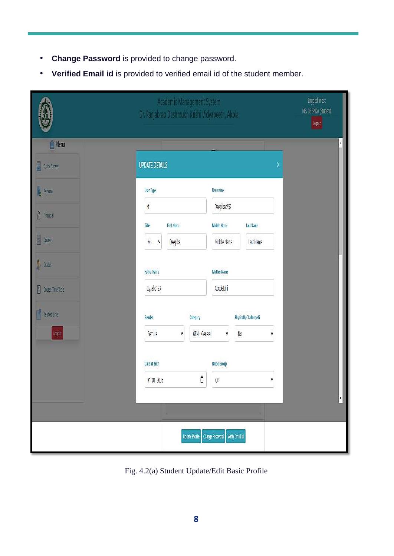- **Change Password** is provided to change password.
- **Verified Email id** is provided to verified email id of the student member.

|                        | Academic Management System<br>Dr. Panjabrao Deshmukh Krishi Vidyapeeth, Akola |                                                      | Logged in as:<br>MS. DEEPIKA (Student)<br>Logout |
|------------------------|-------------------------------------------------------------------------------|------------------------------------------------------|--------------------------------------------------|
| $\triangle$ Menu       |                                                                               |                                                      | $\Delta$                                         |
| <b>Quot Access</b>     | <b>UPDATE DETAILS</b>                                                         | X                                                    |                                                  |
| <b>J</b> Personal      | User Type                                                                     | Username                                             |                                                  |
| <b>A</b> Financial     | st                                                                            | Deepikac259                                          |                                                  |
| E Course               | First Name<br>Title<br>Deepika<br>$\mathsf{Ms}_i$<br>v                        | Middle Name<br>Last Name<br>Middle Name<br>Last Name |                                                  |
| $\mathbb{I}$ Grades    | <b>Father Name</b>                                                            | <b>Mother Name</b>                                   |                                                  |
| 0<br>Course Time Table | Xyzabc123                                                                     | Abcdefghi                                            |                                                  |
| Reated Cine            | Gender<br>Category                                                            | <b>Physically Challenged?</b>                        |                                                  |
| $\log_{10}$            | Female<br>GEN - General<br>٧                                                  | ${\sf No}$<br>Y<br>٧                                 |                                                  |
|                        | <b>Date of Birth</b>                                                          | <b>Blood Group</b>                                   |                                                  |
|                        | Ö<br>$01 - 01 - 2006$                                                         | 0+<br>٧                                              |                                                  |
|                        |                                                                               |                                                      | $\pmb{\mathrm{v}}$                               |
|                        | <b>Update Profile</b>                                                         | Verify Email Id<br>Change Password                   |                                                  |

Fig. 4.2(a) Student Update/Edit Basic Profile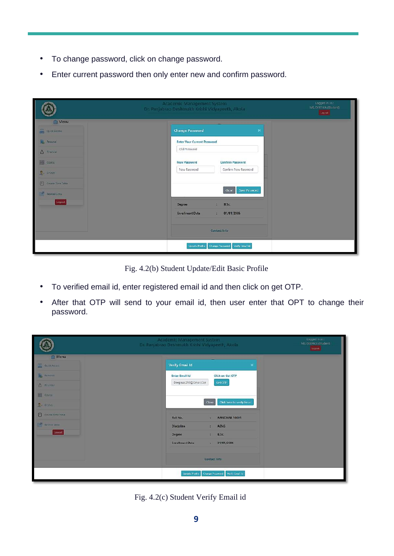- To change password, click on change password.
- Enter current password then only enter new and confirm password.

|                        | Academic Management System<br>Dr. Panjabrao Deshmukh Krishi Vidyapeeth, Akola | Logged in as :<br>MS. DEEPIKA (Student)<br>Logout |
|------------------------|-------------------------------------------------------------------------------|---------------------------------------------------|
| Menu                   |                                                                               |                                                   |
| <b>Co</b> Quot Arrests | <b>Change Password</b><br>$\pmb{\times}$                                      |                                                   |
| <b>Persons</b>         | <b>Enter Your Current Password</b>                                            |                                                   |
| <sup>2</sup> Francial  | Old Password                                                                  |                                                   |
| E Counc                | New Password<br><b>Confirm Password</b>                                       |                                                   |
| $C = 670$ er           | Confirm New Password<br>New Password                                          |                                                   |
| Course Time Table      |                                                                               |                                                   |
| Reated Links           | Save Password<br><b>Close</b>                                                 |                                                   |
| Logout                 | Degree<br><b>B.Sc.</b><br>B.                                                  |                                                   |
|                        | <b>Enrollment Date</b><br>01/01/2006<br>$\mathbb{R}^n$                        |                                                   |
|                        |                                                                               |                                                   |
|                        | <b>Contact Info</b>                                                           |                                                   |
|                        | <b>Update Profile</b><br>Change Password Verify Email Id                      |                                                   |

Fig. 4.2(b) Student Update/Edit Basic Profile

- To verified email id, enter registered email id and then click on get OTP.
- After that OTP will send to your email id, then user enter that OPT to change their password.

| I                        | Academic Management System<br>Dr. Panjabrao Deshmukh Krishi Vidyapeeth, Akola | Logged mass<br>MS. DEEPIKA (Student)<br>Legan |
|--------------------------|-------------------------------------------------------------------------------|-----------------------------------------------|
| Menu                     |                                                                               |                                               |
| <b>CONSTRUCTS</b>        | <b>Verify Email Id</b><br>$\pmb{\times}$                                      |                                               |
| <b>Personal</b>          | Click on Get OTP<br><b>Enter Email Id</b>                                     |                                               |
| <b>A</b> Francial        | Deepikac259@Gmail.Com<br>Get OTP                                              |                                               |
| <b>Ell</b> Course        |                                                                               |                                               |
| $2 -$ Guita              | Click here to verify Email<br>Close                                           |                                               |
| <b>Course Time Table</b> | <b>AMSCOAB 10001</b><br>Roll No.<br>÷                                         |                                               |
| Rented Links             | AENG<br><b>Discipline</b><br><b>B</b>                                         |                                               |
| Logout                   | $\pm$ B.Sc.<br>Degree                                                         |                                               |
|                          | <b>Enrollment Date</b><br>01/01/2006<br><b>B</b>                              |                                               |
|                          | Contact Info                                                                  |                                               |
|                          |                                                                               |                                               |
|                          | <b>Update Profile</b><br>Change Password Verify Email Id                      |                                               |

Fig. 4.2(c) Student Verify Email id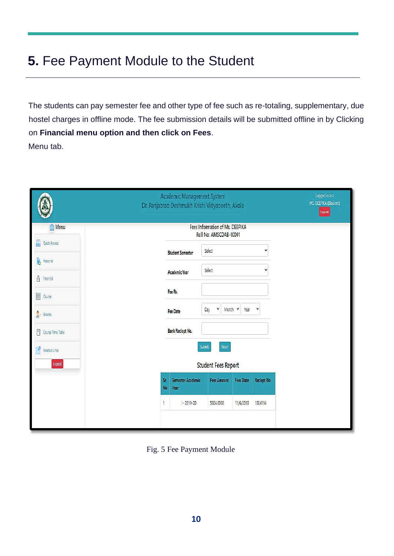# <span id="page-13-0"></span>**5.** Fee Payment Module to the Student

The students can pay semester fee and other type of fee such as re-totaling, supplementary, due hostel charges in offline mode. The fee submission details will be submitted offline in by Clicking on **Financial menu option and then click on Fees**. Menu tab.

|                                                           |           | <b>Academic Management System</b><br>Dr. Panjabrao Deshmukh Krishi Vidyapeeth, Akola |                                                           |                  |             | Logged in as:<br>MS. DEEPIKA (Student)<br>Logout |
|-----------------------------------------------------------|-----------|--------------------------------------------------------------------------------------|-----------------------------------------------------------|------------------|-------------|--------------------------------------------------|
| Menu                                                      |           |                                                                                      | Fees Information of Ms. DEEPIKA<br>Roll No: AMSCOAB-10001 |                  |             |                                                  |
| Ē<br>Quick Access                                         |           | <b>Student Semester</b>                                                              | Select                                                    |                  | ٧           |                                                  |
| $\overline{\phantom{a}}$<br>Personal                      |           | Academic Year                                                                        | Select                                                    |                  | ٧           |                                                  |
| Â<br>Financial<br>E<br>Course                             |           | Fee Rs.                                                                              |                                                           |                  |             |                                                  |
| ĝ.<br>Grades                                              |           | Fee Date                                                                             | ٧<br>Day                                                  | Month v<br>Year  | v           |                                                  |
| $\overset{\scriptscriptstyle{0}}{=}$<br>Course Time Table |           | <b>Bank Reciept No.</b>                                                              |                                                           |                  |             |                                                  |
| Related Links                                             |           |                                                                                      | Reset<br>Submit                                           |                  |             |                                                  |
| $\begin{array}{c} \texttt{Logout} \end{array}$            |           |                                                                                      | <b>Student Fees Report</b>                                |                  |             |                                                  |
|                                                           | Sr.<br>No | Semester-Academic<br>Year                                                            | <b>Fees Amount</b>                                        | <b>Fees Date</b> | Reciept No. |                                                  |
|                                                           |           | $1 - 2019 - 20$                                                                      | 5024.0000                                                 | 11/6/2019        | 1024114     |                                                  |
|                                                           |           |                                                                                      |                                                           |                  |             |                                                  |

Fig. 5 Fee Payment Module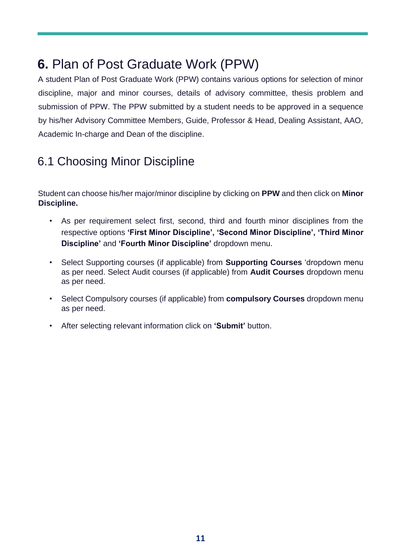### <span id="page-14-0"></span>**6.** Plan of Post Graduate Work (PPW)

A student Plan of Post Graduate Work (PPW) contains various options for selection of minor discipline, major and minor courses, details of advisory committee, thesis problem and submission of PPW. The PPW submitted by a student needs to be approved in a sequence by his/her Advisory Committee Members, Guide, Professor & Head, Dealing Assistant, AAO, Academic In-charge and Dean of the discipline.

#### <span id="page-14-1"></span>6.1 Choosing Minor Discipline

Student can choose his/her major/minor discipline by clicking on **PPW** and then click on **Minor Discipline.** 

- As per requirement select first, second, third and fourth minor disciplines from the respective options **'First Minor Discipline', 'Second Minor Discipline', 'Third Minor Discipline'** and **'Fourth Minor Discipline'** dropdown menu.
- Select Supporting courses (if applicable) from **Supporting Courses** 'dropdown menu as per need. Select Audit courses (if applicable) from **Audit Courses** dropdown menu as per need.
- Select Compulsory courses (if applicable) from **compulsory Courses** dropdown menu as per need.
- After selecting relevant information click on **'Submit'** button.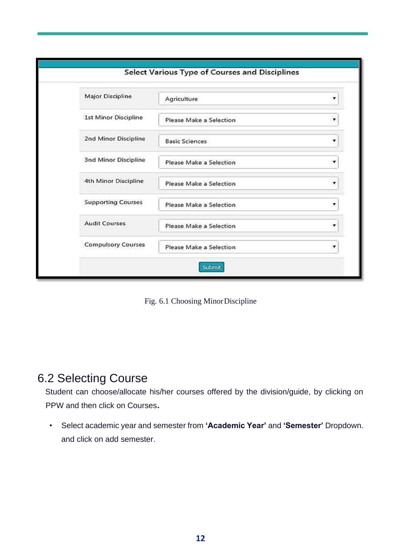

Fig. 6.1 Choosing MinorDiscipline

#### <span id="page-15-0"></span>6.2 Selecting Course

Student can choose/allocate his/her courses offered by the division/guide, by clicking on PPW and then click on Courses**.**

• Select academic year and semester from **'Academic Year'** and **'Semester'** Dropdown. and click on add semester.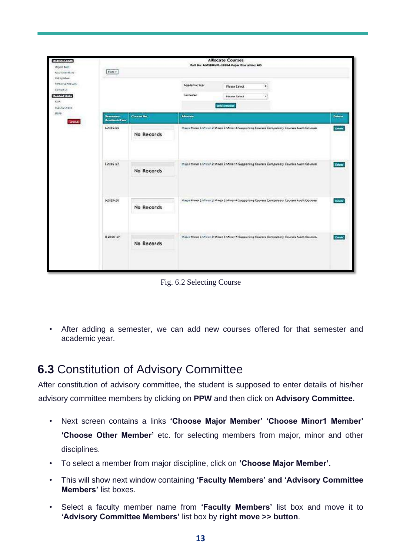

Fig. 6.2 Selecting Course

• After adding a semester, we can add new courses offered for that semester and academic year.

#### **6.3** Constitution of Advisory Committee

After constitution of advisory committee, the student is supposed to enter details of his/her advisory committee members by clicking on **PPW** and then click on **Advisory Committee.** 

- Next screen contains a links **'Choose Major Member' 'Choose Minor1 Member' 'Choose Other Member'** etc. for selecting members from major, minor and other disciplines.
- To select a member from major discipline, click on **'Choose Major Member'.**
- This will show next window containing **'Faculty Members' and 'Advisory Committee Members'** list boxes.
- Select a faculty member name from **'Faculty Members'** list box and move it to **'Advisory Committee Members'** list box by **right move >> button**.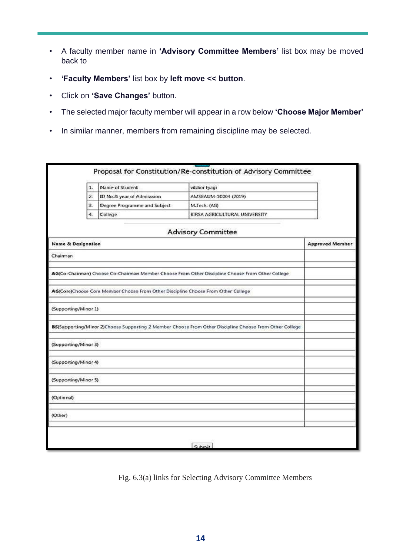- A faculty member name in **'Advisory Committee Members'** list box may be moved back to
- **'Faculty Members'** list box by **left move << button**.
- Click on **'Save Changes'** button.
- The selected major faculty member will appear in a row below **'Choose Major Member'**
- In similar manner, members from remaining discipline may be selected.

|                               |    |                                                                                   | Proposal for Constitution/Re-constitution of Advisory Committee                                         |                        |
|-------------------------------|----|-----------------------------------------------------------------------------------|---------------------------------------------------------------------------------------------------------|------------------------|
|                               | 1. | Name of Student                                                                   | vibhor tyagi                                                                                            |                        |
|                               | 2. | ID No.& year of Admisssion                                                        | AMSBAUM-10004 (2019)                                                                                    |                        |
|                               | з. | Degree Programme and Subject                                                      | M.Tech. (AG)                                                                                            |                        |
|                               | 4. | College                                                                           | BIRSA AGRICULTURAL UNIVERSITY                                                                           |                        |
|                               |    |                                                                                   | <b>Advisory Committee</b>                                                                               |                        |
| <b>Name &amp; Designation</b> |    |                                                                                   |                                                                                                         | <b>Approved Member</b> |
| Chairman                      |    |                                                                                   |                                                                                                         |                        |
|                               |    |                                                                                   | AG(Co-Chairman) Choose Co-Chairman Member Choose From Other Discipline Choose From Other College        |                        |
|                               |    | AG(Core)Choose Core Member Choose From Other Discipline Choose From Other College |                                                                                                         |                        |
| (Supporting/Minor 1)          |    |                                                                                   |                                                                                                         |                        |
|                               |    |                                                                                   | BS(Supporting/Minor 2)Choose Supporting 2 Member Choose From Other Discipline Choose From Other College |                        |
| (Supporting/Minor 3)          |    |                                                                                   |                                                                                                         |                        |
| (Supporting/Minor 4)          |    |                                                                                   |                                                                                                         |                        |
| (Supporting/Minor 5)          |    |                                                                                   |                                                                                                         |                        |
| (Optional)                    |    |                                                                                   |                                                                                                         |                        |
| (Other)                       |    |                                                                                   |                                                                                                         |                        |
|                               |    |                                                                                   |                                                                                                         |                        |
|                               |    |                                                                                   | Submit                                                                                                  |                        |

Fig. 6.3(a) links for Selecting Advisory Committee Members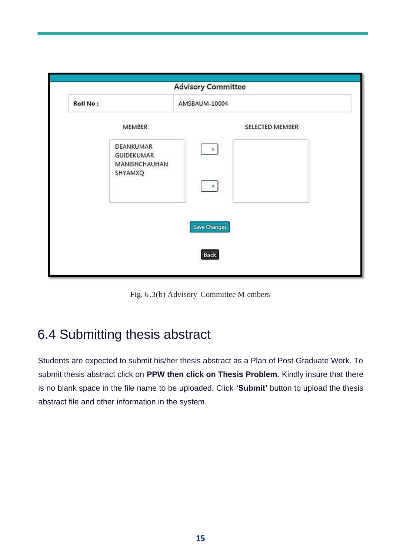|                                          | <b>Advisory Committee</b> |
|------------------------------------------|---------------------------|
| Roll No:                                 | AMSBAUM-10004             |
| <b>MEMBER</b>                            | SELECTED MEMBER           |
| DEANKUMAR<br>GUIDEKUMAR<br>MANISHCHAUHAN | $\,$                      |
| SHYAMXQ                                  | k                         |
|                                          | <b>Save Changes</b>       |
|                                          | Back                      |

Fig. 6.3(b) Advisory Committee M embers

### 6.4 Submitting thesis abstract

Students are expected to submit his/her thesis abstract as a Plan of Post Graduate Work. To submit thesis abstract click on **PPW then click on Thesis Problem.** Kindly insure that there is no blank space in the file name to be uploaded. Click **'Submit'** button to upload the thesis abstract file and other information in the system.